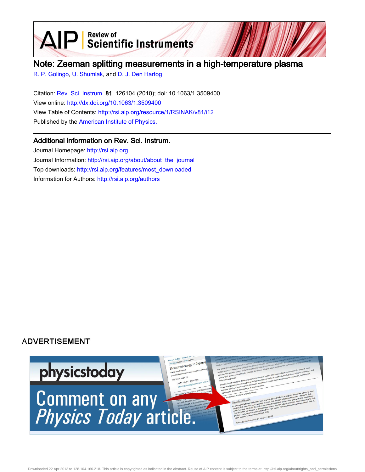$\mathbf{A}$   $\mathbf{P}$   $\mathbf{S}$  cientific Instruments

## Note: Zeeman splitting measurements in a high-temperature plasma

[R. P. Golingo](http://rsi.aip.org/search?sortby=newestdate&q=&searchzone=2&searchtype=searchin&faceted=faceted&key=AIP_ALL&possible1=R. P. Golingo&possible1zone=author&alias=&displayid=AIP&ver=pdfcov), [U. Shumlak,](http://rsi.aip.org/search?sortby=newestdate&q=&searchzone=2&searchtype=searchin&faceted=faceted&key=AIP_ALL&possible1=U. Shumlak&possible1zone=author&alias=&displayid=AIP&ver=pdfcov) and [D. J. Den Hartog](http://rsi.aip.org/search?sortby=newestdate&q=&searchzone=2&searchtype=searchin&faceted=faceted&key=AIP_ALL&possible1=D. J. Den Hartog&possible1zone=author&alias=&displayid=AIP&ver=pdfcov)

Citation: [Rev. Sci. Instrum.](http://rsi.aip.org?ver=pdfcov) 81, 126104 (2010); doi: 10.1063/1.3509400 View online: [http://dx.doi.org/10.1063/1.3509400](http://link.aip.org/link/doi/10.1063/1.3509400?ver=pdfcov) View Table of Contents: [http://rsi.aip.org/resource/1/RSINAK/v81/i12](http://rsi.aip.org/resource/1/RSINAK/v81/i12?ver=pdfcov) Published by the [American Institute of Physics.](http://www.aip.org/?ver=pdfcov)

## Additional information on Rev. Sci. Instrum.

Journal Homepage: [http://rsi.aip.org](http://rsi.aip.org?ver=pdfcov) Journal Information: [http://rsi.aip.org/about/about\\_the\\_journal](http://rsi.aip.org/about/about_the_journal?ver=pdfcov) Top downloads: [http://rsi.aip.org/features/most\\_downloaded](http://rsi.aip.org/features/most_downloaded?ver=pdfcov) Information for Authors: [http://rsi.aip.org/authors](http://rsi.aip.org/authors?ver=pdfcov)

## **ADVERTISEMENT**

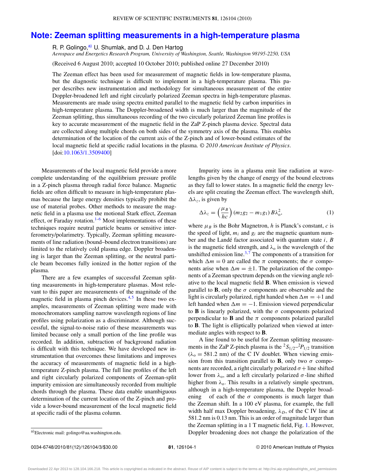## **[Note: Zeeman splitting measurements in a high-temperature plasma](http://dx.doi.org/10.1063/1.3509400)**

R. P. Golingo, <sup>[a\)](#page-1-0)</sup> U. Shumlak, and D. J. Den Hartog

*Aerospace and Energetics Research Program, University of Washington, Seattle, Washington 98195-2250, USA*

(Received 6 August 2010; accepted 10 October 2010; published online 27 December 2010)

The Zeeman effect has been used for measurement of magnetic fields in low-temperature plasma, but the diagnostic technique is difficult to implement in a high-temperature plasma. This paper describes new instrumentation and methodology for simultaneous measurement of the entire Doppler-broadened left and right circularly polarized Zeeman spectra in high-temperature plasmas. Measurements are made using spectra emitted parallel to the magnetic field by carbon impurities in high-temperature plasma. The Doppler-broadened width is much larger than the magnitude of the Zeeman splitting, thus simultaneous recording of the two circularly polarized Zeeman line profiles is key to accurate measurement of the magnetic field in the ZaP Z-pinch plasma device. Spectral data are collected along multiple chords on both sides of the symmetry axis of the plasma. This enables determination of the location of the current axis of the Z-pinch and of lower-bound estimates of the local magnetic field at specific radial locations in the plasma. *© 2010 American Institute of Physics*. [doi[:10.1063/1.3509400\]](http://dx.doi.org/10.1063/1.3509400)

Measurements of the local magnetic field provide a more complete understanding of the equilibrium pressure profile in a Z-pinch plasma through radial force balance. Magnetic fields are often difficult to measure in high-temperature plasmas because the large energy densities typically prohibit the use of material probes. Other methods to measure the magnetic field in a plasma use the motional Stark effect, Zeeman effect, or Faraday rotation. $1-6$  $1-6$  Most implementations of these techniques require neutral particle beams or sensitive interferometry/polarimetry. Typically, Zeeman splitting measurements of line radiation (bound–bound electron transitions) are limited to the relatively cold plasma edge. Doppler broadening is larger than the Zeeman splitting, or the neutral particle beam becomes fully ionized in the hotter region of the plasma.

There are a few examples of successful Zeeman splitting measurements in high-temperature plasmas. Most relevant to this paper are measurements of the magnitude of the magnetic field in plasma pinch devices. $4.5$  $4.5$  In these two examples, measurements of Zeeman splitting were made with monochromators sampling narrow wavelength regions of line profiles using polarization as a discriminator. Although successful, the signal-to-noise ratio of these measurements was limited because only a small portion of the line profile was recorded. In addition, subtraction of background radiation is difficult with this technique. We have developed new instrumentation that overcomes these limitations and improves the accuracy of measurements of magnetic field in a hightemperature Z-pinch plasma. The full line profiles of the left and right circularly polarized components of Zeeman-split impurity emission are simultaneously recorded from multiple chords through the plasma. These data enable unambiguous determination of the current location of the Z-pinch and provide a lower-bound measurement of the local magnetic field at specific radii of the plasma column.

Impurity ions in a plasma emit line radiation at wavelengths given by the change of energy of the bound electrons as they fall to lower states. In a magnetic field the energy levels are split creating the Zeeman effect. The wavelength shift,  $\Delta\lambda_z$ , is given by

$$
\Delta\lambda_z = \left(\frac{\mu_B}{hc}\right) (m_2 g_2 - m_1 g_1) B \lambda_o^2, \tag{1}
$$

where  $\mu_B$  is the Bohr Magnetron, *h* is Planck's constant, *c* is the speed of light,  $m_i$  and  $g_i$  are the magnetic quantum number and the Landé factor associated with quantum state *i*, *B* is the magnetic field strength, and  $\lambda_0$  is the wavelength of the unshifted emission line. $3.7$  $3.7$  The components of a transition for which  $\Delta m = 0$  are called the  $\pi$  components; the  $\sigma$  components arise when  $\Delta m = \pm 1$ . The polarization of the components of a Zeeman spectrum depends on the viewing angle relative to the local magnetic field **B**. When emission is viewed parallel to **B**, only the  $\sigma$  components are observable and the light is circularly polarized, right handed when  $\Delta m = +1$  and left handed when  $\Delta m = -1$ . Emission viewed perpendicular to **B** is linearly polarized, with the  $\sigma$  components polarized perpendicular to **B** and the  $\pi$  components polarized parallel to **B**. The light is elliptically polarized when viewed at intermediate angles with respect to **B**.

A line found to be useful for Zeeman splitting measurements in the ZaP Z-pinch plasma is the  ${}^{2}S_{1/2} - {}^{2}P_{1/2}$  transition  $(\lambda_0 = 581.2 \text{ nm})$  of the C IV doublet. When viewing emission from this transition parallel to **B**, only two  $\sigma$  components are recorded, a right circularly polarized  $\sigma$  + line shifted lower from  $\lambda_0$ , and a left circularly polarized σ-line shifted higher from  $\lambda_0$ . This results in a relatively simple spectrum, although in a high-temperature plasma, the Doppler broadening of each of the  $\sigma$  components is much larger than the Zeeman shift. In a 100 eV plasma, for example, the full width half max Doppler broadening,  $\lambda_D$ , of the C IV line at 581.2 nm is 0.13 nm. This is an order of magnitude larger than the Zeeman splitting in a 1 T magnetic field, Fig. [1.](#page-2-0) However, Doppler broadening does not change the polarization of the

<span id="page-1-0"></span>a)Electronic mail: [golingo@aa.washington.edu.](mailto: golingo@aa.washington.edu)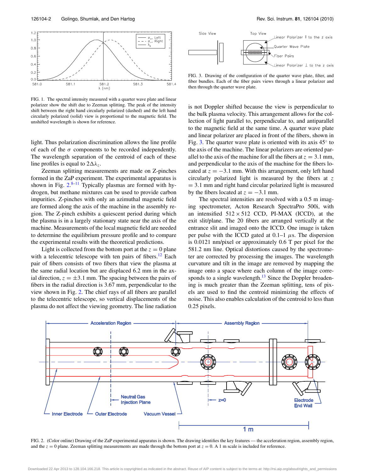<span id="page-2-0"></span>

FIG. 1. The spectral intensity measured with a quarter wave plate and linear polarizer show the shift due to Zeeman splitting. The peak of the intensity shift between the right hand circularly polarized (dashed) and the left hand circularly polarized (solid) view is proportional to the magnetic field. The unshifted wavelength is shown for reference.

light. Thus polarization discrimination allows the line profile of each of the  $\sigma$  components to be recorded independently. The wavelength separation of the centroid of each of these line profiles is equal to  $2\Delta\lambda_z$ .

Zeeman splitting measurements are made on Z-pinches formed in the ZaP experiment. The experimental apparatus is shown in Fig.  $2^{8-11}$  $2^{8-11}$  $2^{8-11}$  Typically plasmas are formed with hydrogen, but methane mixtures can be used to provide carbon impurities. Z-pinches with only an azimuthal magnetic field are formed along the axis of the machine in the assembly region. The Z-pinch exhibits a quiescent period during which the plasma is in a largely stationary state near the axis of the machine. Measurements of the local magnetic field are needed to determine the equilibrium pressure profile and to compare the experimental results with the theoretical predictions.

Light is collected from the bottom port at the  $z = 0$  plane with a telecentric telescope with ten pairs of fibers.<sup>12</sup> Each pair of fibers consists of two fibers that view the plasma at the same radial location but are displaced 6.2 mm in the axial direction,  $z = \pm 3.1$  mm. The spacing between the pairs of fibers in the radial direction is 3.67 mm, perpendicular to the view shown in Fig. [2.](#page-2-1) The chief rays of all fibers are parallel to the telecentric telescope, so vertical displacements of the plasma do not affect the viewing geometry. The line radiation

<span id="page-2-2"></span>

FIG. 3. Drawing of the configuration of the quarter wave plate, filter, and fiber bundles. Each of the fiber pairs views through a linear polarizer and then through the quarter wave plate.

is not Doppler shifted because the view is perpendicular to the bulk plasma velocity. This arrangement allows for the collection of light parallel to, perpendicular to, and antiparallel to the magnetic field at the same time. A quarter wave plate and linear polarizer are placed in front of the fibers, shown in Fig. [3.](#page-2-2) The quarter wave plate is oriented with its axis  $45^\circ$  to the axis of the machine. The linear polarizers are oriented parallel to the axis of the machine for all the fibers at  $z = 3.1$  mm, and perpendicular to the axis of the machine for the fibers located at  $z = -3.1$  mm. With this arrangement, only left hand circularly polarized light is measured by the fibers at *z*  $= 3.1$  mm and right hand circular polarized light is measured by the fibers located at  $z = -3.1$  mm.

The spectral intensities are resolved with a 0.5 m imaging spectrometer, Acton Research SpectraPro 500i, with an intensified  $512 \times 512$  CCD, PI-MAX (ICCD), at the exit slit/plane. The 20 fibers are arranged vertically at the entrance slit and imaged onto the ICCD. One image is taken per pulse with the ICCD gated at  $0.1-1$   $\mu$ s. The dispersion is 0.0121 nm/pixel or approximately 0.6 T per pixel for the 581.2 nm line. Optical distortions caused by the spectrometer are corrected by processing the images. The wavelength curvature and tilt in the image are removed by mapping the image onto a space where each column of the image corresponds to a single wavelength. $13$  Since the Doppler broadening is much greater than the Zeeman splitting, tens of pixels are used to find the centroid minimizing the effects of noise. This also enables calculation of the centroid to less than 0.25 pixels.

<span id="page-2-1"></span>

FIG. 2. (Color online) Drawing of the ZaP experimental apparatus is shown. The drawing identifies the key features — the acceleration region, assembly region, and the  $z = 0$  plane. Zeeman splitting measurements are made through the bottom port at  $z = 0$ . A 1 m scale is included for reference.

Downloaded 22 Apr 2013 to 128.104.166.218. This article is copyrighted as indicated in the abstract. Reuse of AIP content is subject to the terms at: http://rsi.aip.org/about/rights\_and\_permissions